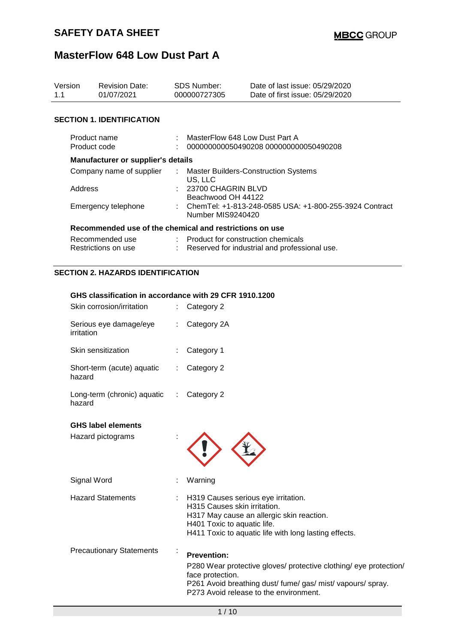| Version<br><b>Revision Date:</b><br>01/07/2021<br>1.1 |                                                         | <b>SDS Number:</b><br>000000727305 |                                                                                       | Date of last issue: 05/29/2020<br>Date of first issue: 05/29/2020 |  |  |
|-------------------------------------------------------|---------------------------------------------------------|------------------------------------|---------------------------------------------------------------------------------------|-------------------------------------------------------------------|--|--|
|                                                       | <b>SECTION 1. IDENTIFICATION</b>                        |                                    |                                                                                       |                                                                   |  |  |
| Product name<br>Product code                          |                                                         |                                    | MasterFlow 648 Low Dust Part A<br>000000000050490208 000000000050490208               |                                                                   |  |  |
|                                                       | <b>Manufacturer or supplier's details</b>               |                                    |                                                                                       |                                                                   |  |  |
|                                                       | Company name of supplier                                |                                    | <b>Master Builders-Construction Systems</b>                                           |                                                                   |  |  |
|                                                       | Address                                                 |                                    | US. LLC<br>$: 23700$ CHAGRIN BLVD<br>Beachwood OH 44122                               |                                                                   |  |  |
| Emergency telephone                                   |                                                         |                                    | ChemTel: +1-813-248-0585 USA: +1-800-255-3924 Contract<br>Number MIS9240420           |                                                                   |  |  |
|                                                       | Recommended use of the chemical and restrictions on use |                                    |                                                                                       |                                                                   |  |  |
| Recommended use<br>Restrictions on use                |                                                         |                                    | : Product for construction chemicals<br>Reserved for industrial and professional use. |                                                                   |  |  |
|                                                       | <b>SECTION 2. HAZARDS IDENTIFICATION</b>                |                                    |                                                                                       |                                                                   |  |  |
|                                                       | GHS classification in accordance with 29 CFR 1910.1200  |                                    |                                                                                       |                                                                   |  |  |
|                                                       | Skin corrosion/irritation                               | ÷                                  | Category 2                                                                            |                                                                   |  |  |
|                                                       | Serious eye damage/eye<br>irritation                    |                                    | Category 2A                                                                           |                                                                   |  |  |
|                                                       | Skin sensitization                                      |                                    | Category 1                                                                            |                                                                   |  |  |
|                                                       | Short-term (acute) aquatic<br>hazard                    |                                    | Category 2                                                                            |                                                                   |  |  |

| <b>Priort torning acquaint</b> | <b>Odicyory</b> |
|--------------------------------|-----------------|
| hazard                         |                 |
|                                |                 |

| Long-term (chronic) aquatic : Category 2 |  |
|------------------------------------------|--|
| hazard                                   |  |

### **GHS label elements**

| Hazard pictograms |  |
|-------------------|--|
|                   |  |

Signal Word **: Warning** 

Hazard Statements : H319 Causes serious eye irritation. H315 Causes skin irritation. H317 May cause an allergic skin reaction. H401 Toxic to aquatic life. H411 Toxic to aquatic life with long lasting effects. Precautionary Statements : **Prevention:** 

> P280 Wear protective gloves/ protective clothing/ eye protection/ face protection. P261 Avoid breathing dust/ fume/ gas/ mist/ vapours/ spray. P273 Avoid release to the environment.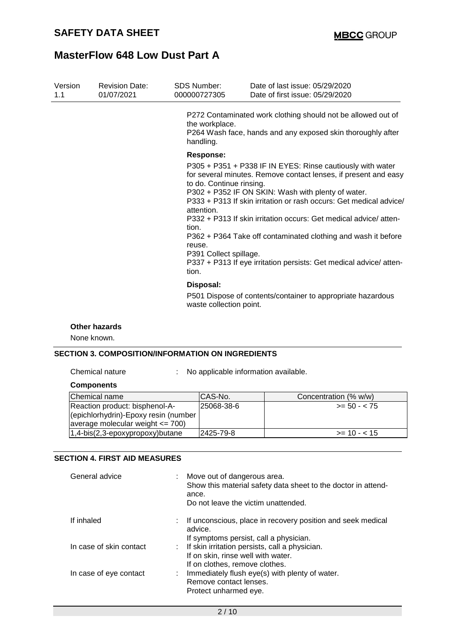| Version<br>1.1 | <b>Revision Date:</b><br>01/07/2021 | <b>SDS Number:</b><br>000000727305                                                                        | Date of last issue: 05/29/2020<br>Date of first issue: 05/29/2020                                                                                                                                                                                                                                                                                                                                                                                                   |
|----------------|-------------------------------------|-----------------------------------------------------------------------------------------------------------|---------------------------------------------------------------------------------------------------------------------------------------------------------------------------------------------------------------------------------------------------------------------------------------------------------------------------------------------------------------------------------------------------------------------------------------------------------------------|
|                |                                     | the workplace.<br>handling.                                                                               | P272 Contaminated work clothing should not be allowed out of<br>P264 Wash face, hands and any exposed skin thoroughly after                                                                                                                                                                                                                                                                                                                                         |
|                |                                     | Response:<br>to do. Continue rinsing.<br>attention.<br>tion.<br>reuse.<br>P391 Collect spillage.<br>tion. | P305 + P351 + P338 IF IN EYES: Rinse cautiously with water<br>for several minutes. Remove contact lenses, if present and easy<br>P302 + P352 IF ON SKIN: Wash with plenty of water.<br>P333 + P313 If skin irritation or rash occurs: Get medical advice/<br>P332 + P313 If skin irritation occurs: Get medical advice/atten-<br>P362 + P364 Take off contaminated clothing and wash it before<br>P337 + P313 If eye irritation persists: Get medical advice/atten- |
|                |                                     | Disposal:<br>waste collection point.                                                                      | P501 Dispose of contents/container to appropriate hazardous                                                                                                                                                                                                                                                                                                                                                                                                         |

**Other hazards**

None known.

#### **SECTION 3. COMPOSITION/INFORMATION ON INGREDIENTS**

Chemical nature : No applicable information available.

#### **Components**

| Chemical name                        | ICAS-No.   | Concentration (% w/w) |
|--------------------------------------|------------|-----------------------|
| Reaction product: bisphenol-A-       | 25068-38-6 | $>= 50 - 75$          |
| (epichlorhydrin)-Epoxy resin (number |            |                       |
| average molecular weight $\leq$ 700) |            |                       |
| $(1,4-bis(2,3-epoxypropoxy)butane)$  | I2425-79-8 | $\ge$ = 10 - < 15     |

### **SECTION 4. FIRST AID MEASURES**

| General advice          | Move out of dangerous area.<br>Show this material safety data sheet to the doctor in attend-<br>ance.<br>Do not leave the victim unattended. |
|-------------------------|----------------------------------------------------------------------------------------------------------------------------------------------|
| If inhaled              | : If unconscious, place in recovery position and seek medical<br>advice.                                                                     |
|                         | If symptoms persist, call a physician.                                                                                                       |
| In case of skin contact | : If skin irritation persists, call a physician.                                                                                             |
|                         | If on skin, rinse well with water.                                                                                                           |
|                         | If on clothes, remove clothes.                                                                                                               |
| In case of eye contact  | : Immediately flush eye(s) with plenty of water.                                                                                             |
|                         | Remove contact lenses.                                                                                                                       |
|                         | Protect unharmed eye.                                                                                                                        |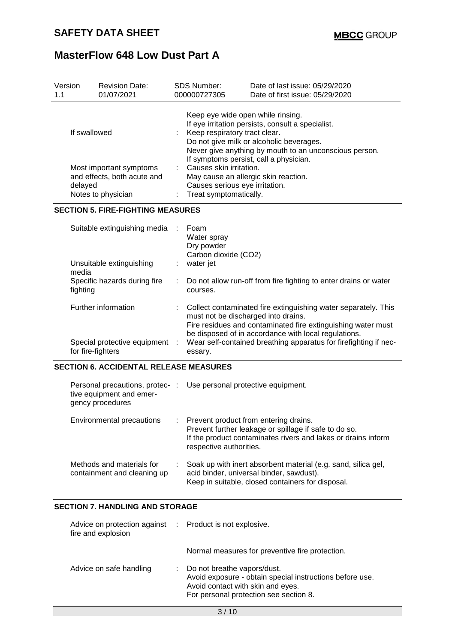Unsuitable extinguishing

Specific hazards during fire

Special protective equipment :

media

fighting

## **MasterFlow 648 Low Dust Part A**

| Version<br>1.1                           | <b>Revision Date:</b><br>01/07/2021                                          | <b>SDS Number:</b><br>000000727305                                                                                                                                                                                                                                      | Date of last issue: 05/29/2020<br>Date of first issue: 05/29/2020                                                               |  |  |  |
|------------------------------------------|------------------------------------------------------------------------------|-------------------------------------------------------------------------------------------------------------------------------------------------------------------------------------------------------------------------------------------------------------------------|---------------------------------------------------------------------------------------------------------------------------------|--|--|--|
| If swallowed                             |                                                                              | Keep eye wide open while rinsing.<br>If eye irritation persists, consult a specialist.<br>Keep respiratory tract clear.<br>Do not give milk or alcoholic beverages.<br>Never give anything by mouth to an unconscious person.<br>If symptoms persist, call a physician. |                                                                                                                                 |  |  |  |
| delayed                                  | Most important symptoms<br>and effects, both acute and<br>Notes to physician |                                                                                                                                                                                                                                                                         | : Causes skin irritation.<br>May cause an allergic skin reaction.<br>Causes serious eye irritation.<br>: Treat symptomatically. |  |  |  |
| <b>SECTION 5. FIRE-FIGHTING MEASURES</b> |                                                                              |                                                                                                                                                                                                                                                                         |                                                                                                                                 |  |  |  |
|                                          | Suitable extinguishing media                                                 | Foam<br>÷<br>Water spray<br>Dry powder<br>Carbon dioxide (CO2)                                                                                                                                                                                                          |                                                                                                                                 |  |  |  |

: Do not allow run-off from fire fighting to enter drains or water

be disposed of in accordance with local regulations.

Fire residues and contaminated fire extinguishing water must

: Wear self-contained breathing apparatus for firefighting if nec-

: water jet

courses.

| for fire-fighters | essary.                                       |
|-------------------|-----------------------------------------------|
|                   | <b>SECTION 6. ACCIDENTAL RELEASE MEASURES</b> |

| Personal precautions, protec-:<br>tive equipment and emer-<br>gency procedures |    | Use personal protective equipment.                                                                                                                                                         |
|--------------------------------------------------------------------------------|----|--------------------------------------------------------------------------------------------------------------------------------------------------------------------------------------------|
| Environmental precautions                                                      | ÷. | Prevent product from entering drains.<br>Prevent further leakage or spillage if safe to do so.<br>If the product contaminates rivers and lakes or drains inform<br>respective authorities. |
| Methods and materials for<br>containment and cleaning up                       |    | Soak up with inert absorbent material (e.g. sand, silica gel,<br>acid binder, universal binder, sawdust).<br>Keep in suitable, closed containers for disposal.                             |

Further information : Collect contaminated fire extinguishing water separately. This

must not be discharged into drains.

### **SECTION 7. HANDLING AND STORAGE**

| Advice on protection against : Product is not explosive.<br>fire and explosion |                                                                                                                                                                        |  |
|--------------------------------------------------------------------------------|------------------------------------------------------------------------------------------------------------------------------------------------------------------------|--|
|                                                                                | Normal measures for preventive fire protection.                                                                                                                        |  |
| Advice on safe handling                                                        | Do not breathe vapors/dust.<br>Avoid exposure - obtain special instructions before use.<br>Avoid contact with skin and eyes.<br>For personal protection see section 8. |  |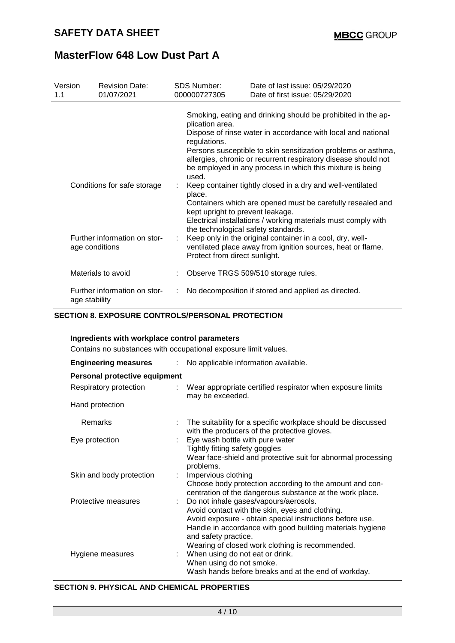| Version<br>1.1                                 | <b>Revision Date:</b><br>01/07/2021 | <b>SDS Number:</b><br>000000727305                                                                                                                                                                                                                                                                                                                              | Date of last issue: 05/29/2020<br>Date of first issue: 05/29/2020                                                                                                                         |  |  |
|------------------------------------------------|-------------------------------------|-----------------------------------------------------------------------------------------------------------------------------------------------------------------------------------------------------------------------------------------------------------------------------------------------------------------------------------------------------------------|-------------------------------------------------------------------------------------------------------------------------------------------------------------------------------------------|--|--|
|                                                |                                     | Smoking, eating and drinking should be prohibited in the ap-<br>plication area.<br>Dispose of rinse water in accordance with local and national<br>regulations.<br>Persons susceptible to skin sensitization problems or asthma,<br>allergies, chronic or recurrent respiratory disease should not<br>be employed in any process in which this mixture is being |                                                                                                                                                                                           |  |  |
| Conditions for safe storage                    |                                     | used.<br>place.<br>kept upright to prevent leakage.                                                                                                                                                                                                                                                                                                             | Keep container tightly closed in a dry and well-ventilated<br>Containers which are opened must be carefully resealed and                                                                  |  |  |
| Further information on stor-<br>age conditions |                                     | the technological safety standards.<br>Protect from direct sunlight.                                                                                                                                                                                                                                                                                            | Electrical installations / working materials must comply with<br>Keep only in the original container in a cool, dry, well-<br>ventilated place away from ignition sources, heat or flame. |  |  |
|                                                | Materials to avoid                  |                                                                                                                                                                                                                                                                                                                                                                 | Observe TRGS 509/510 storage rules.                                                                                                                                                       |  |  |
| Further information on stor-<br>age stability  |                                     |                                                                                                                                                                                                                                                                                                                                                                 | No decomposition if stored and applied as directed.                                                                                                                                       |  |  |

### **SECTION 8. EXPOSURE CONTROLS/PERSONAL PROTECTION**

#### **Ingredients with workplace control parameters**

Contains no substances with occupational exposure limit values.

| <b>Engineering measures</b><br>÷. | No applicable information available.                                                                                                          |  |  |  |  |
|-----------------------------------|-----------------------------------------------------------------------------------------------------------------------------------------------|--|--|--|--|
| Personal protective equipment     |                                                                                                                                               |  |  |  |  |
| Respiratory protection<br>t.      | Wear appropriate certified respirator when exposure limits<br>may be exceeded.                                                                |  |  |  |  |
| Hand protection                   |                                                                                                                                               |  |  |  |  |
| Remarks                           | The suitability for a specific workplace should be discussed<br>with the producers of the protective gloves.                                  |  |  |  |  |
| Eye protection                    | Eye wash bottle with pure water                                                                                                               |  |  |  |  |
|                                   | Tightly fitting safety goggles<br>Wear face-shield and protective suit for abnormal processing<br>problems.                                   |  |  |  |  |
| Skin and body protection          | : Impervious clothing                                                                                                                         |  |  |  |  |
|                                   | Choose body protection according to the amount and con-<br>centration of the dangerous substance at the work place.                           |  |  |  |  |
| Protective measures<br>÷.         | Do not inhale gases/vapours/aerosols.                                                                                                         |  |  |  |  |
|                                   | Avoid contact with the skin, eyes and clothing.                                                                                               |  |  |  |  |
|                                   | Avoid exposure - obtain special instructions before use.<br>Handle in accordance with good building materials hygiene<br>and safety practice. |  |  |  |  |
|                                   | Wearing of closed work clothing is recommended.                                                                                               |  |  |  |  |
| Hygiene measures                  | : When using do not eat or drink.<br>When using do not smoke.                                                                                 |  |  |  |  |
|                                   | Wash hands before breaks and at the end of workday.                                                                                           |  |  |  |  |

### **SECTION 9. PHYSICAL AND CHEMICAL PROPERTIES**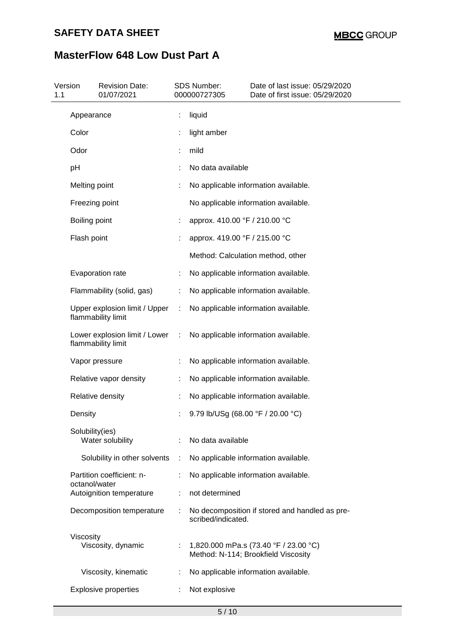# **SAFETY DATA SHEET**

# **MasterFlow 648 Low Dust Part A**

| Version<br>1.1 | <b>Revision Date:</b><br>01/07/2021                 |    | SDS Number:<br>000000727305       | Date of last issue: 05/29/2020<br>Date of first issue: 05/29/2020            |
|----------------|-----------------------------------------------------|----|-----------------------------------|------------------------------------------------------------------------------|
|                | Appearance                                          |    | liquid                            |                                                                              |
|                | Color                                               |    | light amber                       |                                                                              |
|                | Odor                                                |    | mild                              |                                                                              |
|                | pH                                                  |    | No data available                 |                                                                              |
|                | Melting point                                       |    |                                   | No applicable information available.                                         |
|                | Freezing point                                      |    |                                   | No applicable information available.                                         |
|                | Boiling point                                       |    | approx. 410.00 °F / 210.00 °C     |                                                                              |
|                | Flash point                                         |    | approx. 419.00 °F / 215.00 °C     |                                                                              |
|                |                                                     |    |                                   | Method: Calculation method, other                                            |
|                | Evaporation rate                                    |    |                                   | No applicable information available.                                         |
|                | Flammability (solid, gas)                           | ÷. |                                   | No applicable information available.                                         |
|                | Upper explosion limit / Upper<br>flammability limit | ÷. |                                   | No applicable information available.                                         |
|                | Lower explosion limit / Lower<br>flammability limit | ÷  |                                   | No applicable information available.                                         |
|                | Vapor pressure                                      |    |                                   | No applicable information available.                                         |
|                | Relative vapor density                              | ÷. |                                   | No applicable information available.                                         |
|                | Relative density                                    |    |                                   | No applicable information available.                                         |
|                | Density                                             |    | 9.79 lb/USg (68.00 °F / 20.00 °C) |                                                                              |
|                | Solubility(ies)<br>Water solubility                 |    | No data available                 |                                                                              |
|                | Solubility in other solvents                        | ÷  |                                   | No applicable information available.                                         |
|                | Partition coefficient: n-<br>octanol/water          |    |                                   | No applicable information available.                                         |
|                | Autoignition temperature                            |    | not determined                    |                                                                              |
|                | Decomposition temperature                           |    | scribed/indicated.                | No decomposition if stored and handled as pre-                               |
|                | Viscosity<br>Viscosity, dynamic                     |    |                                   | 1,820.000 mPa.s (73.40 °F / 23.00 °C)<br>Method: N-114; Brookfield Viscosity |
|                | Viscosity, kinematic                                |    |                                   | No applicable information available.                                         |
|                | <b>Explosive properties</b>                         |    | Not explosive                     |                                                                              |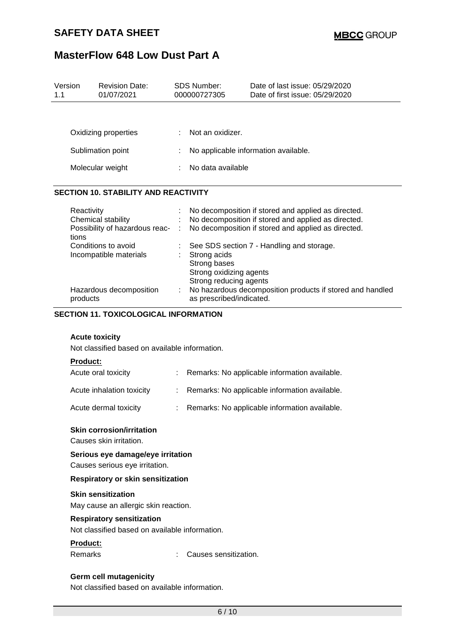| 1.1 | Version                                                                              | <b>Revision Date:</b><br>01/07/2021                                         |   | <b>SDS Number:</b><br>000000727305                                                                                                                                                          | Date of last issue: 05/29/2020<br>Date of first issue: 05/29/2020                                                                                                 |
|-----|--------------------------------------------------------------------------------------|-----------------------------------------------------------------------------|---|---------------------------------------------------------------------------------------------------------------------------------------------------------------------------------------------|-------------------------------------------------------------------------------------------------------------------------------------------------------------------|
|     |                                                                                      | Oxidizing properties<br>Sublimation point<br>Molecular weight               |   | Not an oxidizer.<br>No applicable information available.<br>No data available                                                                                                               |                                                                                                                                                                   |
|     |                                                                                      | <b>SECTION 10. STABILITY AND REACTIVITY</b>                                 |   |                                                                                                                                                                                             |                                                                                                                                                                   |
|     | Reactivity<br>tions                                                                  | Chemical stability<br>Possibility of hazardous reac-<br>Conditions to avoid |   |                                                                                                                                                                                             | No decomposition if stored and applied as directed.<br>No decomposition if stored and applied as directed.<br>No decomposition if stored and applied as directed. |
|     |                                                                                      | Incompatible materials<br>Hazardous decomposition                           |   | See SDS section 7 - Handling and storage.<br>Strong acids<br>Strong bases<br>Strong oxidizing agents<br>Strong reducing agents<br>No hazardous decomposition products if stored and handled |                                                                                                                                                                   |
|     | as prescribed/indicated.<br>products<br><b>SECTION 11. TOXICOLOGICAL INFORMATION</b> |                                                                             |   |                                                                                                                                                                                             |                                                                                                                                                                   |
|     | <b>Acute toxicity</b><br>Not classified based on available information.              |                                                                             |   |                                                                                                                                                                                             |                                                                                                                                                                   |
|     | <b>Product:</b>                                                                      | Acute oral toxicity                                                         |   |                                                                                                                                                                                             | Remarks: No applicable information available.                                                                                                                     |
|     |                                                                                      | Acute inhalation toxicity                                                   | ÷ |                                                                                                                                                                                             | Remarks: No applicable information available.                                                                                                                     |
|     |                                                                                      | Acute dermal toxicity                                                       |   |                                                                                                                                                                                             | Remarks: No applicable information available.                                                                                                                     |
|     |                                                                                      | <b>Skin corrosion/irritation</b><br>Causes skin irritation.                 |   |                                                                                                                                                                                             |                                                                                                                                                                   |
|     | Serious eye damage/eye irritation<br>Causes serious eye irritation.                  |                                                                             |   |                                                                                                                                                                                             |                                                                                                                                                                   |

### **Respiratory or skin sensitization**

### **Skin sensitization**

May cause an allergic skin reaction.

#### **Respiratory sensitization**

Not classified based on available information.

### **Product:**

Remarks : Causes sensitization.

#### **Germ cell mutagenicity**

Not classified based on available information.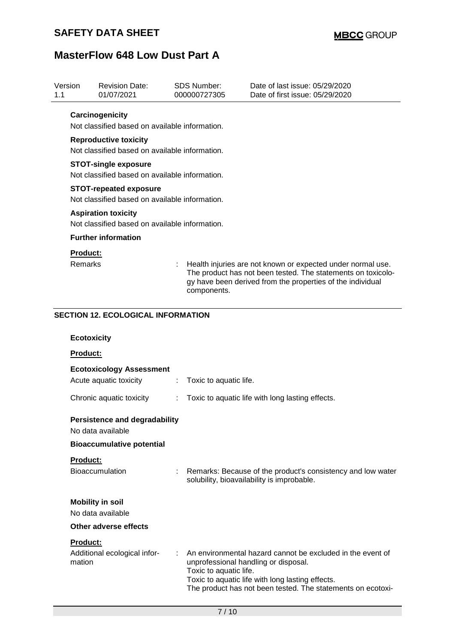| Version<br>1.1  | <b>Revision Date:</b><br>01/07/2021                                             |    | <b>SDS Number:</b><br>000000727305 | Date of last issue: 05/29/2020<br>Date of first issue: 05/29/2020                                                                                                                         |  |  |
|-----------------|---------------------------------------------------------------------------------|----|------------------------------------|-------------------------------------------------------------------------------------------------------------------------------------------------------------------------------------------|--|--|
|                 | Carcinogenicity                                                                 |    |                                    |                                                                                                                                                                                           |  |  |
|                 | Not classified based on available information.                                  |    |                                    |                                                                                                                                                                                           |  |  |
|                 | <b>Reproductive toxicity</b>                                                    |    |                                    |                                                                                                                                                                                           |  |  |
|                 | Not classified based on available information.                                  |    |                                    |                                                                                                                                                                                           |  |  |
|                 | <b>STOT-single exposure</b><br>Not classified based on available information.   |    |                                    |                                                                                                                                                                                           |  |  |
|                 | <b>STOT-repeated exposure</b><br>Not classified based on available information. |    |                                    |                                                                                                                                                                                           |  |  |
|                 | <b>Aspiration toxicity</b>                                                      |    |                                    |                                                                                                                                                                                           |  |  |
|                 | Not classified based on available information.                                  |    |                                    |                                                                                                                                                                                           |  |  |
|                 | <b>Further information</b>                                                      |    |                                    |                                                                                                                                                                                           |  |  |
| <b>Product:</b> |                                                                                 |    |                                    |                                                                                                                                                                                           |  |  |
| Remarks         |                                                                                 |    | components.                        | Health injuries are not known or expected under normal use.<br>The product has not been tested. The statements on toxicolo-<br>gy have been derived from the properties of the individual |  |  |
|                 | <b>SECTION 12. ECOLOGICAL INFORMATION</b>                                       |    |                                    |                                                                                                                                                                                           |  |  |
|                 |                                                                                 |    |                                    |                                                                                                                                                                                           |  |  |
|                 | <b>Ecotoxicity</b>                                                              |    |                                    |                                                                                                                                                                                           |  |  |
| Product:        |                                                                                 |    |                                    |                                                                                                                                                                                           |  |  |
|                 | <b>Ecotoxicology Assessment</b>                                                 |    |                                    |                                                                                                                                                                                           |  |  |
|                 | Acute aquatic toxicity                                                          | ÷. | Toxic to aquatic life.             |                                                                                                                                                                                           |  |  |
|                 | Chronic aquatic toxicity                                                        | ÷. |                                    | Toxic to aquatic life with long lasting effects.                                                                                                                                          |  |  |
|                 | <b>Persistence and degradability</b><br>No data available                       |    |                                    |                                                                                                                                                                                           |  |  |
|                 | <b>Bioaccumulative potential</b>                                                |    |                                    |                                                                                                                                                                                           |  |  |
| Product:        |                                                                                 |    |                                    |                                                                                                                                                                                           |  |  |
|                 | Bioaccumulation                                                                 |    |                                    | Remarks: Because of the product's consistency and low water<br>solubility, bioavailability is improbable.                                                                                 |  |  |
|                 | <b>Mobility in soil</b>                                                         |    |                                    |                                                                                                                                                                                           |  |  |
|                 | No data available                                                               |    |                                    |                                                                                                                                                                                           |  |  |
|                 | Other adverse effects                                                           |    |                                    |                                                                                                                                                                                           |  |  |
| <b>Product:</b> |                                                                                 |    |                                    |                                                                                                                                                                                           |  |  |
| mation          | Additional ecological infor-                                                    |    | Toxic to aquatic life.             | An environmental hazard cannot be excluded in the event of<br>unprofessional handling or disposal.                                                                                        |  |  |
|                 |                                                                                 |    |                                    | Toxic to aquatic life with long lasting effects.<br>The product has not been tested. The statements on ecotoxi-                                                                           |  |  |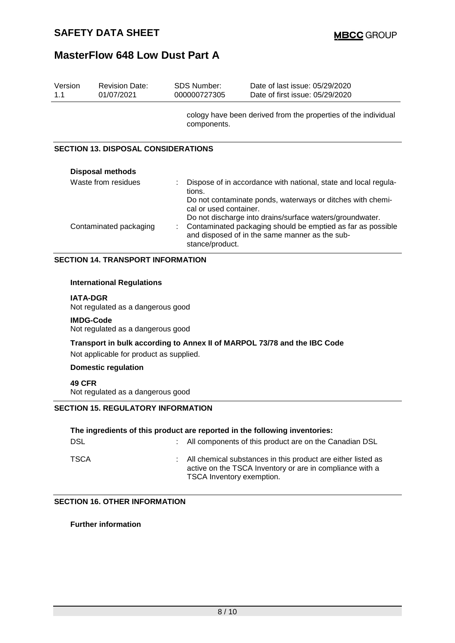| Version<br>1.1                           | <b>Revision Date:</b><br>01/07/2021        | SDS Number:<br>000000727305 | Date of last issue: 05/29/2020<br>Date of first issue: 05/29/2020                                                                                                                                                   |  |  |
|------------------------------------------|--------------------------------------------|-----------------------------|---------------------------------------------------------------------------------------------------------------------------------------------------------------------------------------------------------------------|--|--|
|                                          |                                            | components.                 | cology have been derived from the properties of the individual                                                                                                                                                      |  |  |
|                                          | <b>SECTION 13. DISPOSAL CONSIDERATIONS</b> |                             |                                                                                                                                                                                                                     |  |  |
|                                          | <b>Disposal methods</b>                    |                             |                                                                                                                                                                                                                     |  |  |
| Waste from residues                      |                                            | tions.                      | Dispose of in accordance with national, state and local regula-<br>Do not contaminate ponds, waterways or ditches with chemi-<br>cal or used container.<br>Do not discharge into drains/surface waters/groundwater. |  |  |
| Contaminated packaging                   |                                            |                             | Contaminated packaging should be emptied as far as possible<br>and disposed of in the same manner as the sub-<br>stance/product.                                                                                    |  |  |
| <b>SECTION 14. TRANSPORT INFORMATION</b> |                                            |                             |                                                                                                                                                                                                                     |  |  |
|                                          | <b>International Regulations</b>           |                             |                                                                                                                                                                                                                     |  |  |

**IATA-DGR** Not regulated as a dangerous good

### **IMDG-Code**

Not regulated as a dangerous good

### **Transport in bulk according to Annex II of MARPOL 73/78 and the IBC Code**

Not applicable for product as supplied.

### **Domestic regulation**

**49 CFR**

Not regulated as a dangerous good

### **SECTION 15. REGULATORY INFORMATION**

| The ingredients of this product are reported in the following inventories: |  |                                                                                                                                                         |  |
|----------------------------------------------------------------------------|--|---------------------------------------------------------------------------------------------------------------------------------------------------------|--|
| <b>DSL</b>                                                                 |  | : All components of this product are on the Canadian DSL                                                                                                |  |
| TSCA                                                                       |  | : All chemical substances in this product are either listed as<br>active on the TSCA Inventory or are in compliance with a<br>TSCA Inventory exemption. |  |

#### **SECTION 16. OTHER INFORMATION**

**Further information**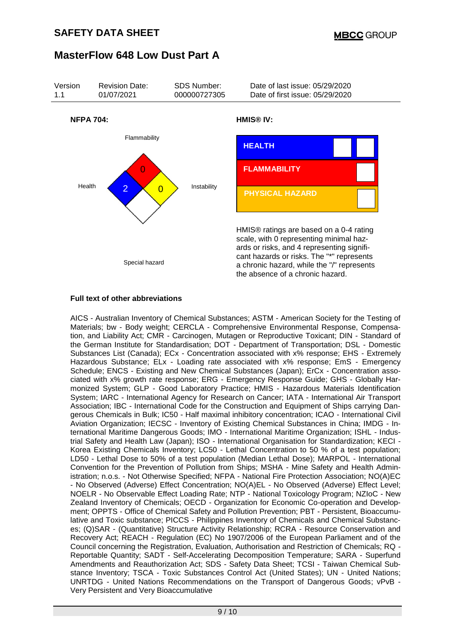

#### **Full text of other abbreviations**

AICS - Australian Inventory of Chemical Substances; ASTM - American Society for the Testing of Materials; bw - Body weight; CERCLA - Comprehensive Environmental Response, Compensation, and Liability Act; CMR - Carcinogen, Mutagen or Reproductive Toxicant; DIN - Standard of the German Institute for Standardisation; DOT - Department of Transportation; DSL - Domestic Substances List (Canada); ECx - Concentration associated with x% response; EHS - Extremely Hazardous Substance; ELx - Loading rate associated with x% response; EmS - Emergency Schedule; ENCS - Existing and New Chemical Substances (Japan); ErCx - Concentration associated with x% growth rate response; ERG - Emergency Response Guide; GHS - Globally Harmonized System; GLP - Good Laboratory Practice; HMIS - Hazardous Materials Identification System; IARC - International Agency for Research on Cancer; IATA - International Air Transport Association; IBC - International Code for the Construction and Equipment of Ships carrying Dangerous Chemicals in Bulk; IC50 - Half maximal inhibitory concentration; ICAO - International Civil Aviation Organization; IECSC - Inventory of Existing Chemical Substances in China; IMDG - International Maritime Dangerous Goods; IMO - International Maritime Organization; ISHL - Industrial Safety and Health Law (Japan); ISO - International Organisation for Standardization; KECI - Korea Existing Chemicals Inventory; LC50 - Lethal Concentration to 50 % of a test population; LD50 - Lethal Dose to 50% of a test population (Median Lethal Dose); MARPOL - International Convention for the Prevention of Pollution from Ships; MSHA - Mine Safety and Health Administration; n.o.s. - Not Otherwise Specified; NFPA - National Fire Protection Association; NO(A)EC - No Observed (Adverse) Effect Concentration; NO(A)EL - No Observed (Adverse) Effect Level; NOELR - No Observable Effect Loading Rate; NTP - National Toxicology Program; NZIoC - New Zealand Inventory of Chemicals; OECD - Organization for Economic Co-operation and Development; OPPTS - Office of Chemical Safety and Pollution Prevention; PBT - Persistent, Bioaccumulative and Toxic substance; PICCS - Philippines Inventory of Chemicals and Chemical Substances; (Q)SAR - (Quantitative) Structure Activity Relationship; RCRA - Resource Conservation and Recovery Act; REACH - Regulation (EC) No 1907/2006 of the European Parliament and of the Council concerning the Registration, Evaluation, Authorisation and Restriction of Chemicals; RQ - Reportable Quantity; SADT - Self-Accelerating Decomposition Temperature; SARA - Superfund Amendments and Reauthorization Act; SDS - Safety Data Sheet; TCSI - Taiwan Chemical Substance Inventory; TSCA - Toxic Substances Control Act (United States); UN - United Nations; UNRTDG - United Nations Recommendations on the Transport of Dangerous Goods; vPvB - Very Persistent and Very Bioaccumulative